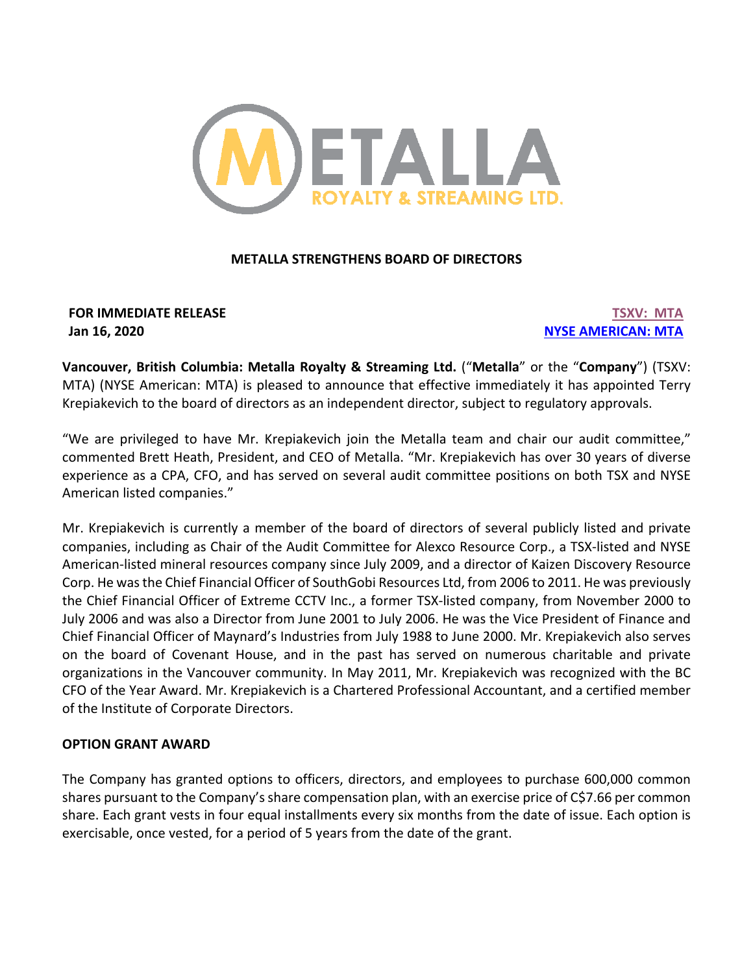

## **METALLA STRENGTHENS BOARD OF DIRECTORS**

# **FOR IMMEDIATE RELEASE TSXV: MTA Jan 16, 2020 NYSE AMERICAN: MTA**

**Vancouver, British Columbia: Metalla Royalty & Streaming Ltd.** ("**Metalla**" or the "**Company**") (TSXV: MTA) (NYSE American: MTA) is pleased to announce that effective immediately it has appointed Terry Krepiakevich to the board of directors as an independent director, subject to regulatory approvals.

"We are privileged to have Mr. Krepiakevich join the Metalla team and chair our audit committee," commented Brett Heath, President, and CEO of Metalla. "Mr. Krepiakevich has over 30 years of diverse experience as a CPA, CFO, and has served on several audit committee positions on both TSX and NYSE American listed companies."

Mr. Krepiakevich is currently a member of the board of directors of several publicly listed and private companies, including as Chair of the Audit Committee for Alexco Resource Corp., a TSX-listed and NYSE American-listed mineral resources company since July 2009, and a director of Kaizen Discovery Resource Corp. He was the Chief Financial Officer of SouthGobi Resources Ltd, from 2006 to 2011. He was previously the Chief Financial Officer of Extreme CCTV Inc., a former TSX-listed company, from November 2000 to July 2006 and was also a Director from June 2001 to July 2006. He was the Vice President of Finance and Chief Financial Officer of Maynard's Industries from July 1988 to June 2000. Mr. Krepiakevich also serves on the board of Covenant House, and in the past has served on numerous charitable and private organizations in the Vancouver community. In May 2011, Mr. Krepiakevich was recognized with the BC CFO of the Year Award. Mr. Krepiakevich is a Chartered Professional Accountant, and a certified member of the Institute of Corporate Directors.

## **OPTION GRANT AWARD**

The Company has granted options to officers, directors, and employees to purchase 600,000 common shares pursuant to the Company's share compensation plan, with an exercise price of C\$7.66 per common share. Each grant vests in four equal installments every six months from the date of issue. Each option is exercisable, once vested, for a period of 5 years from the date of the grant.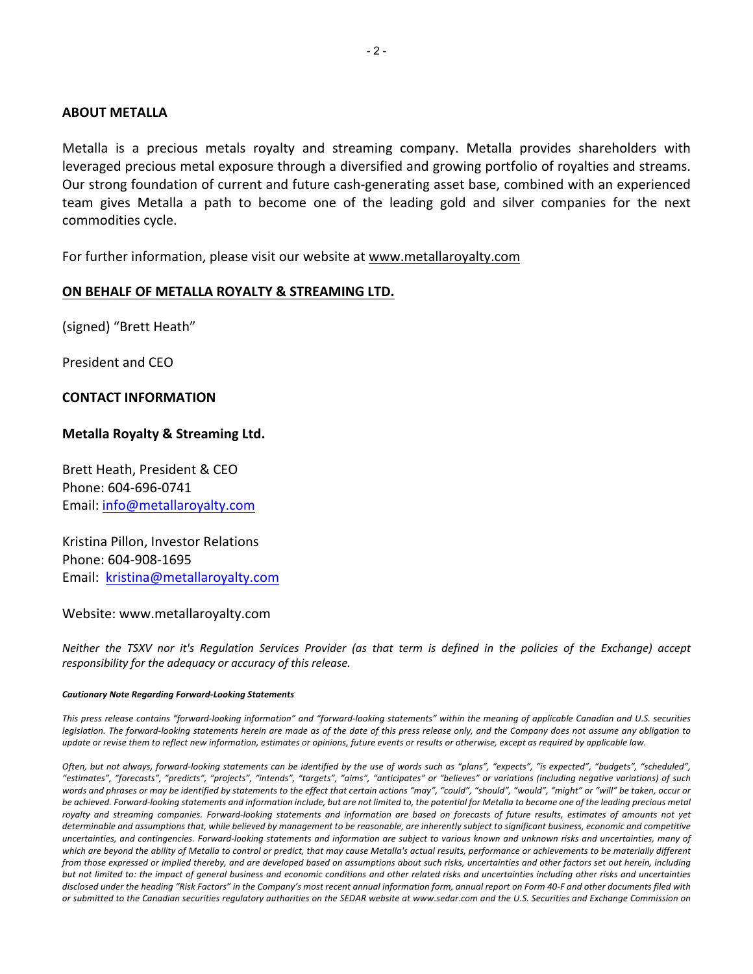### **ABOUT METALLA**

Metalla is a precious metals royalty and streaming company. Metalla provides shareholders with leveraged precious metal exposure through a diversified and growing portfolio of royalties and streams. Our strong foundation of current and future cash-generating asset base, combined with an experienced team gives Metalla a path to become one of the leading gold and silver companies for the next commodities cycle.

For further information, please visit our website at www.metallaroyalty.com

### **ON BEHALF OF METALLA ROYALTY & STREAMING LTD.**

(signed) "Brett Heath"

President and CEO

### **CONTACT INFORMATION**

## **Metalla Royalty & Streaming Ltd.**

Brett Heath, President & CEO Phone: 604-696-0741 Email: info@metallaroyalty.com

Kristina Pillon, Investor Relations Phone: 604-908-1695 Email: kristina@metallaroyalty.com

#### Website: www.metallaroyalty.com

*Neither the TSXV nor it's Regulation Services Provider (as that term is defined in the policies of the Exchange) accept responsibility for the adequacy or accuracy of this release.*

#### *Cautionary Note Regarding Forward-Looking Statements*

*This press release contains "forward-looking information" and "forward-looking statements" within the meaning of applicable Canadian and U.S. securities legislation. The forward-looking statements herein are made as of the date of this press release only, and the Company does not assume any obligation to update or revise them to reflect new information, estimates or opinions, future events or results or otherwise, except as required by applicable law.*

*Often, but not always, forward-looking statements can be identified by the use of words such as "plans", "expects", "is expected", "budgets", "scheduled", "estimates", "forecasts", "predicts", "projects", "intends", "targets", "aims", "anticipates" or "believes" or variations (including negative variations) of such words and phrases or may be identified by statements to the effect that certain actions "may", "could", "should", "would", "might" or "will" be taken, occur or be achieved. Forward-looking statements and information include, but are not limited to, the potential for Metalla to become one of the leading precious metal royalty and streaming companies. Forward-looking statements and information are based on forecasts of future results, estimates of amounts not yet determinable and assumptions that, while believed by management to be reasonable, are inherently subject to significant business, economic and competitive uncertainties, and contingencies. Forward-looking statements and information are subject to various known and unknown risks and uncertainties, many of*  which are beyond the ability of Metalla to control or predict, that may cause Metalla's actual results, performance or achievements to be materially different *from those expressed or implied thereby, and are developed based on assumptions about such risks, uncertainties and other factors set out herein, including*  but not limited to: the impact of general business and economic conditions and other related risks and uncertainties including other risks and uncertainties *disclosed under the heading "Risk Factors" in the Company's most recent annual information form, annual report on Form 40-F and other documents filed with or submitted to the Canadian securities regulatory authorities on the SEDAR website at www.sedar.com and the U.S. Securities and Exchange Commission on*